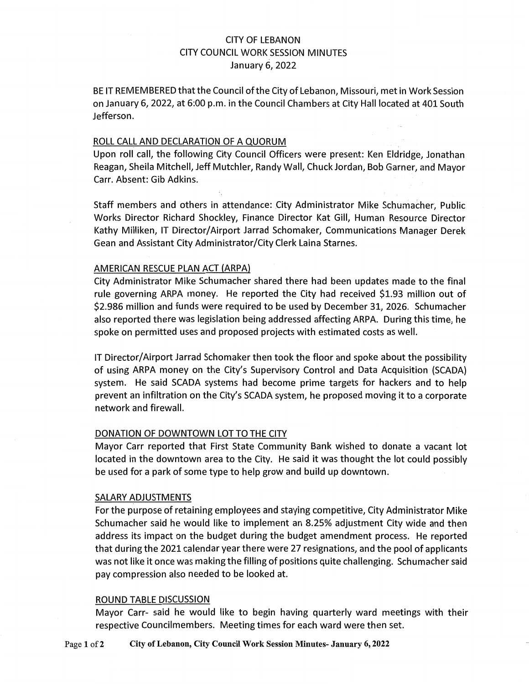# CITY OF LEBANON CITY COUNCIL WORK SESSION MINUTES January 6, 2022

BE IT REMEMBERED that the Council of the City of Lebanon, Missouri, met in Work Session on January 6, 2022, at 6:00 p.m. in the Council Chambers at City Hall located at 401 South Jefferson.

### ROLL CALL AND DECLARATION OF A QUORUM

Upon roll call, the following City Council Officers were present: Ken Eldridge, Jonathan Reagan, Sheila Mitchell, Jeff Mutchler, Randy Wall, Chuck Jordan, Bob Garner, and Mayor Carr. Absent: Gib Adkins.

Staff members and others in attendance: City Administrator Mike Schumacher, Public Works Director Richard Shockley, Finance Director Kat Gill, Human Resource Director Kathy Milliken, IT Director/Airport Jarrad Schomaker, Communications Manager Derek Gean and Assistant City Administrator/City Clerk Laina Starnes.

#### AMERICAN RESCUE PLAN ACT (ARPA)

City Administrator Mike Schumacher shared there had been updates made to the final rule governing ARPA money. He reported the City had received \$1.93 million out of \$2.986 million and funds were required to be used by December 31, 2026. Schumacher also reported there was legislation being addressed affecting ARPA. During this time, he spoke on permitted uses and proposed projects with estimated costs as well.

IT Director/Airport Jarrad Schomaker then took the floor and spoke about the possibility of using ARPA money on the City's Supervisory Control and Data Acquisition (SCADA) system. He said SCADA systems had become prime targets for hackers and to help prevent an infiltration on the City's SCADA system, he proposed moving it to a corporate network and firewall.

### DONATION OF DOWNTOWN LOT TO THE CITY

Mayor Carr reported that First State Community Bank wished to donate a vacant lot located in the downtown area to the City. He said it was thought the lot could possibly be used for a park of some type to help grow and build up downtown.

#### SALARY ADJUSTMENTS

For the purpose of retaining employees and staying competitive, City Administrator Mike Schumacher said he would like to implement an 8.25% adjustment City wide and then address its impact on the budget during the budget amendment process. He reported that during the 2021 calendar year there were 27 resignations, and the pool of applicants was not like it once was making the filling of positions quite challenging. Schumacher said pay compression also needed to be looked at.

## ROUND TABLE DISCUSSION

Mayor Carr- said he would like to begin having quarterly ward meetings with their respective Councilmembers. Meeting times for each ward were then set.